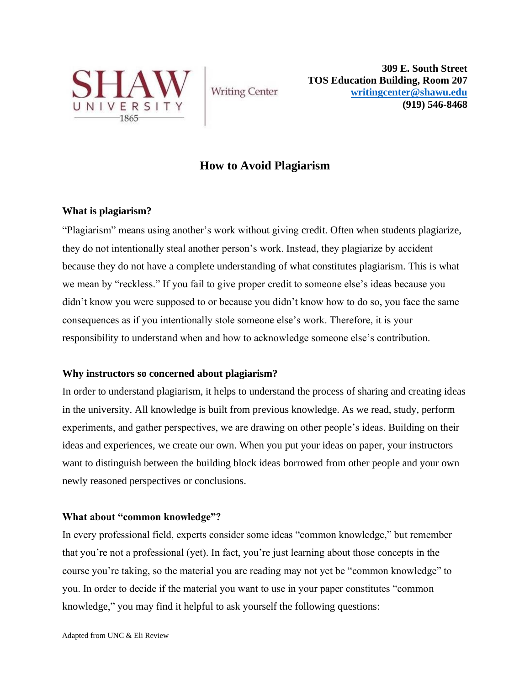

**Writing Center** 

**309 E. South Street TOS Education Building, Room 207 [writingcenter@shawu.edu](mailto:writingcenter@shawu.edu) (919) 546-8468**

# **How to Avoid Plagiarism**

# **What is plagiarism?**

"Plagiarism" means using another's work without giving credit. Often when students plagiarize, they do not intentionally steal another person's work. Instead, they plagiarize by accident because they do not have a complete understanding of what constitutes plagiarism. This is what we mean by "reckless." If you fail to give proper credit to someone else's ideas because you didn't know you were supposed to or because you didn't know how to do so, you face the same consequences as if you intentionally stole someone else's work. Therefore, it is your responsibility to understand when and how to acknowledge someone else's contribution.

# **Why instructors so concerned about plagiarism?**

In order to understand plagiarism, it helps to understand the process of sharing and creating ideas in the university. All knowledge is built from previous knowledge. As we read, study, perform experiments, and gather perspectives, we are drawing on other people's ideas. Building on their ideas and experiences, we create our own. When you put your ideas on paper, your instructors want to distinguish between the building block ideas borrowed from other people and your own newly reasoned perspectives or conclusions.

## **What about "common knowledge"?**

In every professional field, experts consider some ideas "common knowledge," but remember that you're not a professional (yet). In fact, you're just learning about those concepts in the course you're taking, so the material you are reading may not yet be "common knowledge" to you. In order to decide if the material you want to use in your paper constitutes "common knowledge," you may find it helpful to ask yourself the following questions: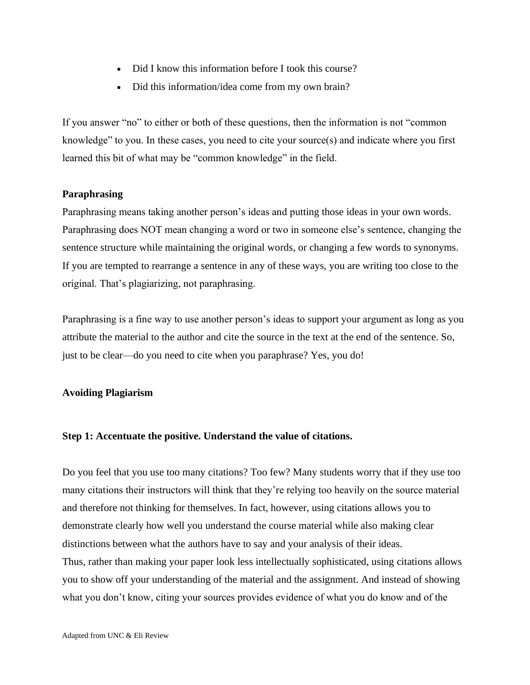- Did I know this information before I took this course?
- Did this information/idea come from my own brain?

If you answer "no" to either or both of these questions, then the information is not "common knowledge" to you. In these cases, you need to cite your source(s) and indicate where you first learned this bit of what may be "common knowledge" in the field.

## **Paraphrasing**

Paraphrasing means taking another person's ideas and putting those ideas in your own words. Paraphrasing does NOT mean changing a word or two in someone else's sentence, changing the sentence structure while maintaining the original words, or changing a few words to synonyms. If you are tempted to rearrange a sentence in any of these ways, you are writing too close to the original. That's plagiarizing, not paraphrasing.

Paraphrasing is a fine way to use another person's ideas to support your argument as long as you attribute the material to the author and cite the source in the text at the end of the sentence. So, just to be clear—do you need to cite when you paraphrase? Yes, you do!

#### **Avoiding Plagiarism**

#### **Step 1: Accentuate the positive. Understand the value of citations.**

Do you feel that you use too many citations? Too few? Many students worry that if they use too many citations their instructors will think that they're relying too heavily on the source material and therefore not thinking for themselves. In fact, however, using citations allows you to demonstrate clearly how well you understand the course material while also making clear distinctions between what the authors have to say and your analysis of their ideas. Thus, rather than making your paper look less intellectually sophisticated, using citations allows you to show off your understanding of the material and the assignment. And instead of showing what you don't know, citing your sources provides evidence of what you do know and of the